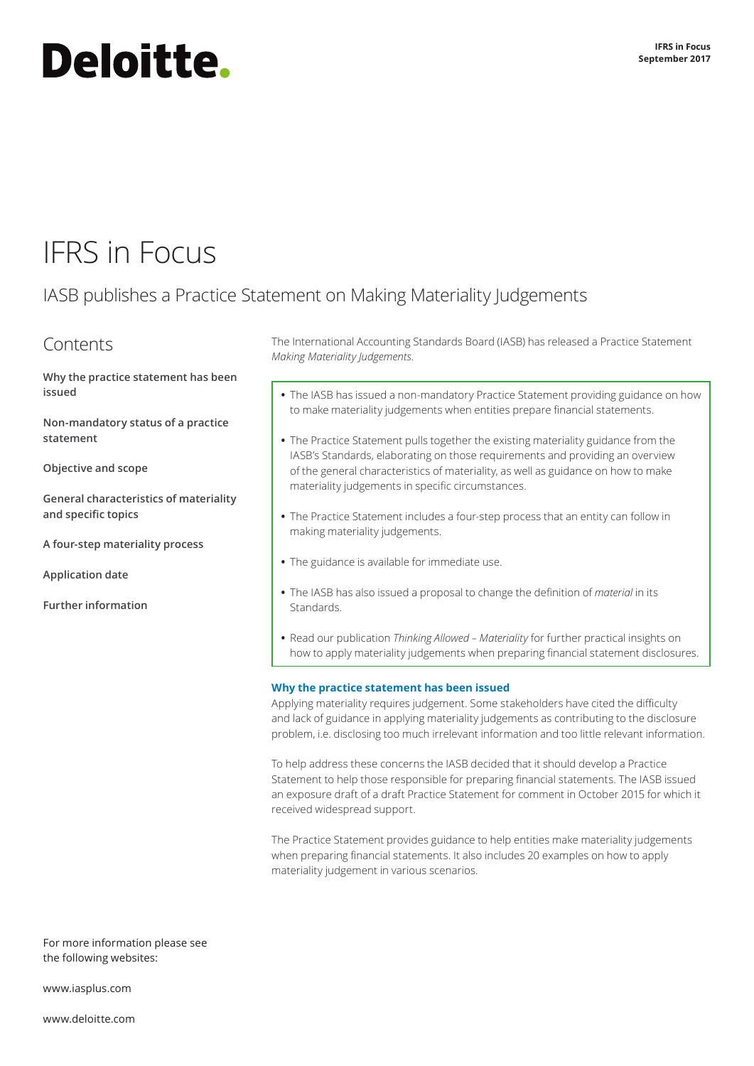# **Deloitte.**

## IFRS in Focus

### IASB publishes a Practice Statement on Making Materiality Judgements

### Contents

**[Why the practice statement has been](#page-0-0)  [issued](#page-0-0)**

**Non‑mandatory status of a practice statement**

**[Objective and scope](#page-1-0)**

**[General characteristics of materiality](#page-1-1)  [and specific topics](#page-1-1)**

**[A four‑step materiality process](#page-3-0)**

**[Application date](#page-3-1)**

**[Further information](#page-3-2)**

The International Accounting Standards Board (IASB) has released a Practice Statement *Making Materiality Judgements*.

- **•** The IASB has issued a non‑mandatory Practice Statement providing guidance on how to make materiality judgements when entities prepare financial statements.
- **•** The Practice Statement pulls together the existing materiality guidance from the IASB's Standards, elaborating on those requirements and providing an overview of the general characteristics of materiality, as well as guidance on how to make materiality judgements in specific circumstances.
- **•** The Practice Statement includes a four‑step process that an entity can follow in making materiality judgements.
- **•** The guidance is available for immediate use.
- **•** The IASB has also issued a proposal to change the definition of *material* in its **Standards**
- **•** Read our publication *Thinking Allowed Materiality* for further practical insights on how to apply materiality judgements when preparing financial statement disclosures.

#### <span id="page-0-0"></span>**Why the practice statement has been issued**

Applying materiality requires judgement. Some stakeholders have cited the difficulty and lack of guidance in applying materiality judgements as contributing to the disclosure problem, i.e. disclosing too much irrelevant information and too little relevant information.

To help address these concerns the IASB decided that it should develop a Practice Statement to help those responsible for preparing financial statements. The IASB issued an exposure draft of a draft Practice Statement for comment in October 2015 for which it received widespread support.

The Practice Statement provides guidance to help entities make materiality judgements when preparing financial statements. It also includes 20 examples on how to apply materiality judgement in various scenarios.

For more information please see the following websites:

[www.iasplus.com](http://www.iasplus.com)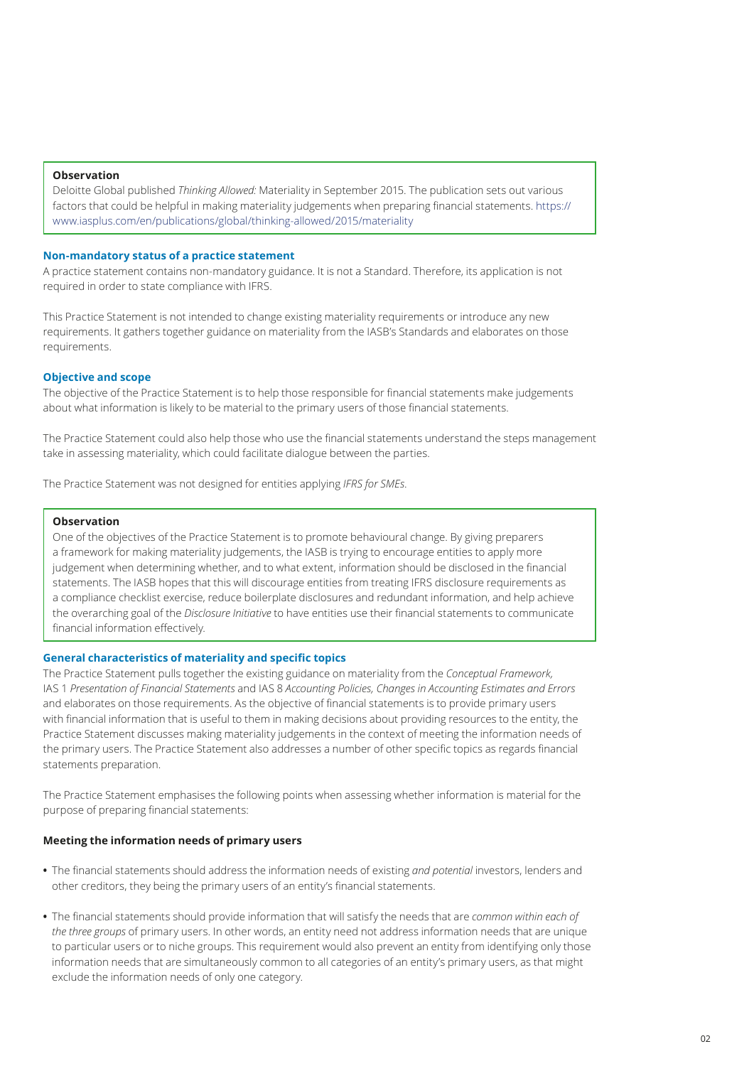#### **Observation**

Deloitte Global published *Thinking Allowed:* Materiality in September 2015. The publication sets out various factors that could be helpful in making materiality judgements when preparing financial statements. [https://](https://www.iasplus.com/en/publications/global/thinkingallowed/2015/materiality) [www.iasplus.com/en/publications/global/thinking‑allowed/2015/materiality](https://www.iasplus.com/en/publications/global/thinkingallowed/2015/materiality)

#### **Non‑mandatory status of a practice statement**

A practice statement contains non‑mandatory guidance. It is not a Standard. Therefore, its application is not required in order to state compliance with IFRS.

This Practice Statement is not intended to change existing materiality requirements or introduce any new requirements. It gathers together guidance on materiality from the IASB's Standards and elaborates on those requirements.

#### <span id="page-1-0"></span>**Objective and scope**

The objective of the Practice Statement is to help those responsible for financial statements make judgements about what information is likely to be material to the primary users of those financial statements.

The Practice Statement could also help those who use the financial statements understand the steps management take in assessing materiality, which could facilitate dialogue between the parties.

The Practice Statement was not designed for entities applying *IFRS for SMEs*.

#### **Observation**

One of the objectives of the Practice Statement is to promote behavioural change. By giving preparers a framework for making materiality judgements, the IASB is trying to encourage entities to apply more judgement when determining whether, and to what extent, information should be disclosed in the financial statements. The IASB hopes that this will discourage entities from treating IFRS disclosure requirements as a compliance checklist exercise, reduce boilerplate disclosures and redundant information, and help achieve the overarching goal of the *Disclosure Initiative* to have entities use their financial statements to communicate financial information effectively.

#### <span id="page-1-1"></span>**General characteristics of materiality and specific topics**

The Practice Statement pulls together the existing guidance on materiality from the *Conceptual Framework,* IAS 1 *Presentation of Financial Statements* and IAS 8 *Accounting Policies, Changes in Accounting Estimates and Errors* and elaborates on those requirements. As the objective of financial statements is to provide primary users with financial information that is useful to them in making decisions about providing resources to the entity, the Practice Statement discusses making materiality judgements in the context of meeting the information needs of the primary users. The Practice Statement also addresses a number of other specific topics as regards financial statements preparation.

The Practice Statement emphasises the following points when assessing whether information is material for the purpose of preparing financial statements:

#### **Meeting the information needs of primary users**

- **•** The financial statements should address the information needs of existing *and potential* investors, lenders and other creditors, they being the primary users of an entity's financial statements.
- **•** The financial statements should provide information that will satisfy the needs that are *common within each of the three groups* of primary users. In other words, an entity need not address information needs that are unique to particular users or to niche groups. This requirement would also prevent an entity from identifying only those information needs that are simultaneously common to all categories of an entity's primary users, as that might exclude the information needs of only one category.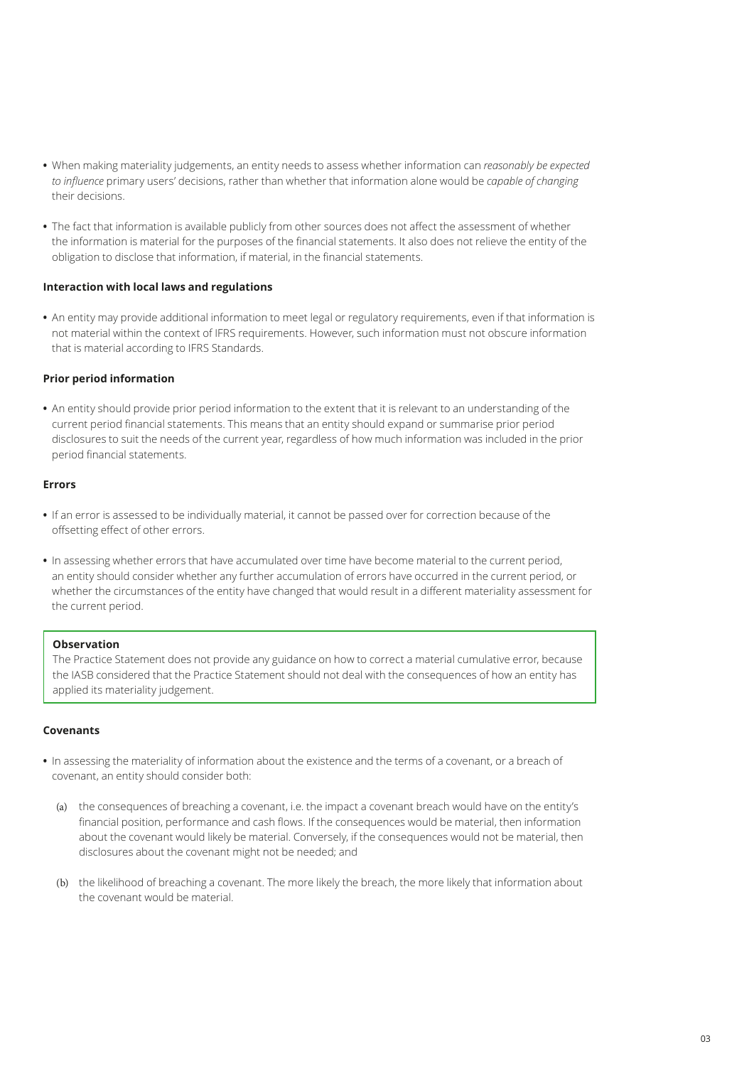- **•** When making materiality judgements, an entity needs to assess whether information can *reasonably be expected to influence* primary users' decisions, rather than whether that information alone would be *capable of changing* their decisions.
- **•** The fact that information is available publicly from other sources does not affect the assessment of whether the information is material for the purposes of the financial statements. It also does not relieve the entity of the obligation to disclose that information, if material, in the financial statements.

#### **Interaction with local laws and regulations**

**•** An entity may provide additional information to meet legal or regulatory requirements, even if that information is not material within the context of IFRS requirements. However, such information must not obscure information that is material according to IFRS Standards.

#### **Prior period information**

**•** An entity should provide prior period information to the extent that it is relevant to an understanding of the current period financial statements. This means that an entity should expand or summarise prior period disclosures to suit the needs of the current year, regardless of how much information was included in the prior period financial statements.

#### **Errors**

- **•** If an error is assessed to be individually material, it cannot be passed over for correction because of the offsetting effect of other errors.
- **•** In assessing whether errors that have accumulated over time have become material to the current period, an entity should consider whether any further accumulation of errors have occurred in the current period, or whether the circumstances of the entity have changed that would result in a different materiality assessment for the current period.

#### **Observation**

The Practice Statement does not provide any guidance on how to correct a material cumulative error, because the IASB considered that the Practice Statement should not deal with the consequences of how an entity has applied its materiality judgement.

#### **Covenants**

- **•** In assessing the materiality of information about the existence and the terms of a covenant, or a breach of covenant, an entity should consider both:
	- (a) the consequences of breaching a covenant, i.e. the impact a covenant breach would have on the entity's financial position, performance and cash flows. If the consequences would be material, then information about the covenant would likely be material. Conversely, if the consequences would not be material, then disclosures about the covenant might not be needed; and
	- (b) the likelihood of breaching a covenant. The more likely the breach, the more likely that information about the covenant would be material.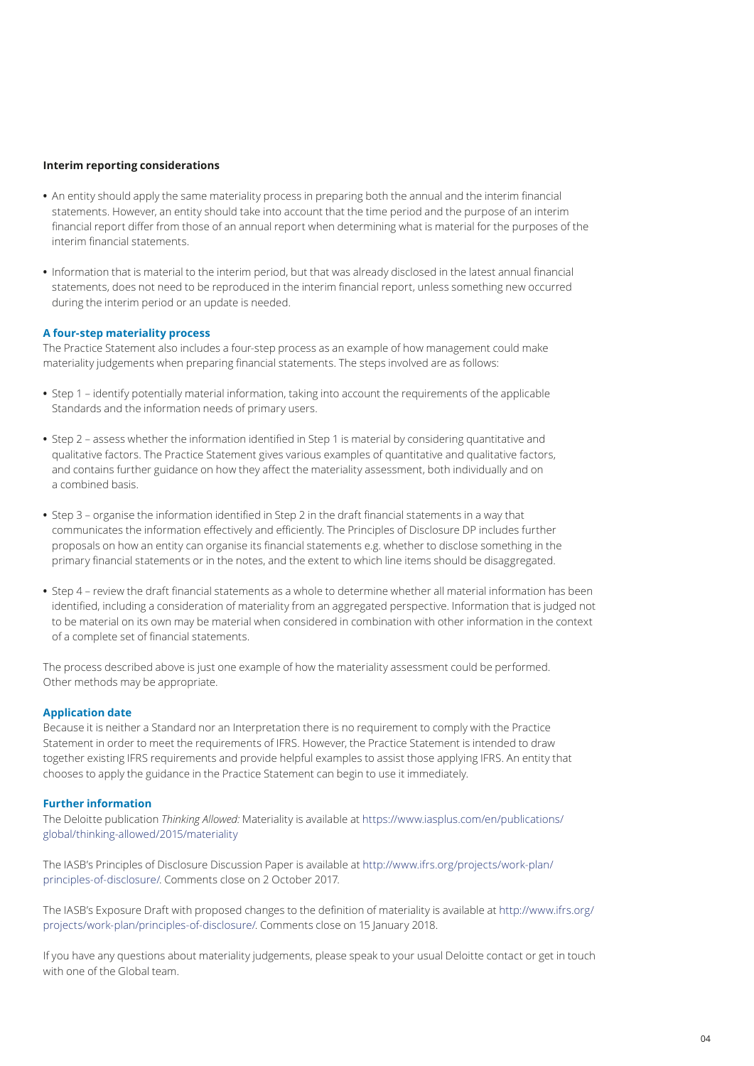#### **Interim reporting considerations**

- **•** An entity should apply the same materiality process in preparing both the annual and the interim financial statements. However, an entity should take into account that the time period and the purpose of an interim financial report differ from those of an annual report when determining what is material for the purposes of the interim financial statements.
- **•** Information that is material to the interim period, but that was already disclosed in the latest annual financial statements, does not need to be reproduced in the interim financial report, unless something new occurred during the interim period or an update is needed.

#### <span id="page-3-0"></span>**A four‑step materiality process**

The Practice Statement also includes a four‑step process as an example of how management could make materiality judgements when preparing financial statements. The steps involved are as follows:

- **•** Step 1 identify potentially material information, taking into account the requirements of the applicable Standards and the information needs of primary users.
- **•** Step 2 assess whether the information identified in Step 1 is material by considering quantitative and qualitative factors. The Practice Statement gives various examples of quantitative and qualitative factors, and contains further guidance on how they affect the materiality assessment, both individually and on a combined basis.
- **•** Step 3 organise the information identified in Step 2 in the draft financial statements in a way that communicates the information effectively and efficiently. The Principles of Disclosure DP includes further proposals on how an entity can organise its financial statements e.g. whether to disclose something in the primary financial statements or in the notes, and the extent to which line items should be disaggregated.
- **•** Step 4 review the draft financial statements as a whole to determine whether all material information has been identified, including a consideration of materiality from an aggregated perspective. Information that is judged not to be material on its own may be material when considered in combination with other information in the context of a complete set of financial statements.

The process described above is just one example of how the materiality assessment could be performed. Other methods may be appropriate.

#### <span id="page-3-1"></span>**Application date**

Because it is neither a Standard nor an Interpretation there is no requirement to comply with the Practice Statement in order to meet the requirements of IFRS. However, the Practice Statement is intended to draw together existing IFRS requirements and provide helpful examples to assist those applying IFRS. An entity that chooses to apply the guidance in the Practice Statement can begin to use it immediately.

#### <span id="page-3-2"></span>**Further information**

The Deloitte publication *Thinking Allowed:* Materiality is available at https://www.iasplus.com/en/publications/ global/thinking‑allowed/2015/materiality

The IASB's Principles of Disclosure Discussion Paper is available at http://www.ifrs.org/projects/work‑plan/ principles‑of‑disclosure/. Comments close on 2 October 2017.

The IASB's Exposure Draft with proposed changes to the definition of materiality is available at http://www.ifrs.org/ projects/work‑plan/principles‑of‑disclosure/. Comments close on 15 January 2018.

If you have any questions about materiality judgements, please speak to your usual Deloitte contact or get in touch with one of the Global team.